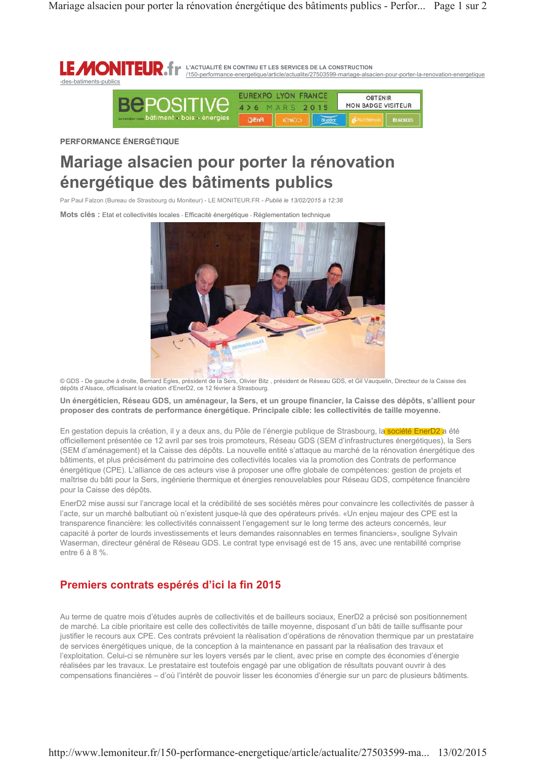

PERFORMANCE ÉNERGÉTIQUE

# Mariage alsacien pour porter la rénovation énergétique des bâtiments publics

Par Paul Falzon (Bureau de Strasbourg du Moniteur) - LE MONITEUR.FR - Publié le 13/02/2015 à 12:38

Mots clés : Etat et collectivités locales - Efficacité énergétique - Réglementation technique



© GDS - De gauche à droite, Bernard Egles, président de la Sers, Olivier Bitz, président de Réseau GDS, et Gil Vauquelin, Directeur de la Caisse des<br>dépôts d'Alsace, officialisant la création d'EnerD2, ce 12 février à Stra

Un énergéticien, Réseau GDS, un aménageur, la Sers, et un groupe financier, la Caisse des dépôts, s'allient pour proposer des contrats de performance énergétique. Principale cible: les collectivités de taille movenne.

En gestation depuis la création, il y a deux ans, du Pôle de l'énergie publique de Strasbourg, la société EnerD2 a été officiellement présentée ce 12 avril par ses trois promoteurs, Réseau GDS (SEM d'infrastructures énergétiques), la Sers (SEM d'aménagement) et la Caisse des dépôts. La nouvelle entité s'attaque au marché de la rénovation énergétique des bâtiments, et plus précisément du patrimoine des collectivités locales via la promotion des Contrats de performance énergétique (CPE). L'alliance de ces acteurs vise à proposer une offre globale de compétences: gestion de projets et maîtrise du bâti pour la Sers, ingénierie thermique et énergies renouvelables pour Réseau GDS, compétence financière pour la Caisse des dépôts.

EnerD2 mise aussi sur l'ancrage local et la crédibilité de ses sociétés mères pour convaincre les collectivités de passer à l'acte, sur un marché balbutiant où n'existent jusque-là que des opérateurs privés. «Un enjeu majeur des CPE est la transparence financière: les collectivités connaissent l'engagement sur le long terme des acteurs concernés, leur capacité à porter de lourds investissements et leurs demandes raisonnables en termes financiers», souliqne Sylvain Waserman, directeur général de Réseau GDS. Le contrat type envisagé est de 15 ans, avec une rentabilité comprise entre 6 à 8 %.

### Premiers contrats espérés d'ici la fin 2015

Au terme de quatre mois d'études auprès de collectivités et de bailleurs sociaux, EnerD2 a précisé son positionnement de marché. La cible prioritaire est celle des collectivités de taille moyenne, disposant d'un bâti de taille suffisante pour justifier le recours aux CPE. Ces contrats prévoient la réalisation d'opérations de rénovation thermique par un prestataire de services énergétiques unique, de la conception à la maintenance en passant par la réalisation des travaux et l'exploitation. Celui-ci se rémunère sur les loyers versés par le client, avec prise en compte des économies d'énergie réalisées par les travaux. Le prestataire est toutefois engagé par une obligation de résultats pouvant ouvrir à des compensations financières - d'où l'intérêt de pouvoir lisser les économies d'énergie sur un parc de plusieurs bâtiments.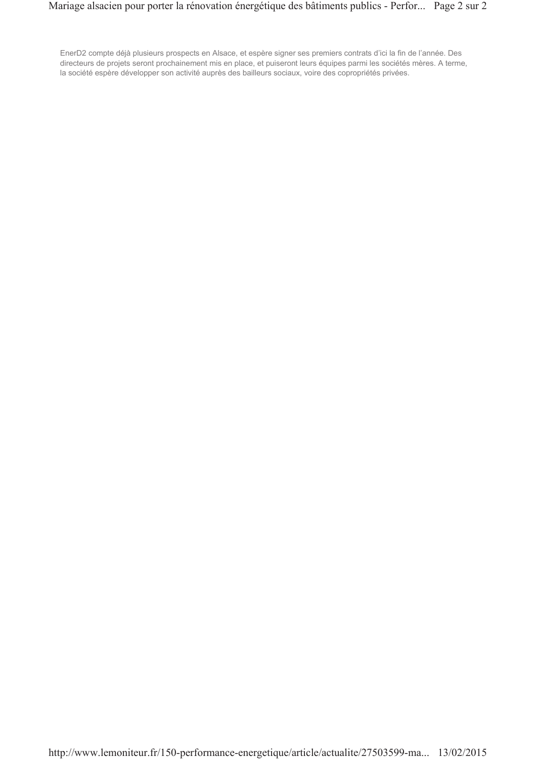EnerD2 compte déjà plusieurs prospects en Alsace, et espère signer ses premiers contrats d'ici la fin de l'année. Des directeurs de projets seront prochainement mis en place, et puiseront leurs équipes parmi les sociétés mères. A terme, la société espère développer son activité auprès des bailleurs sociaux, voire des copropriétés privées.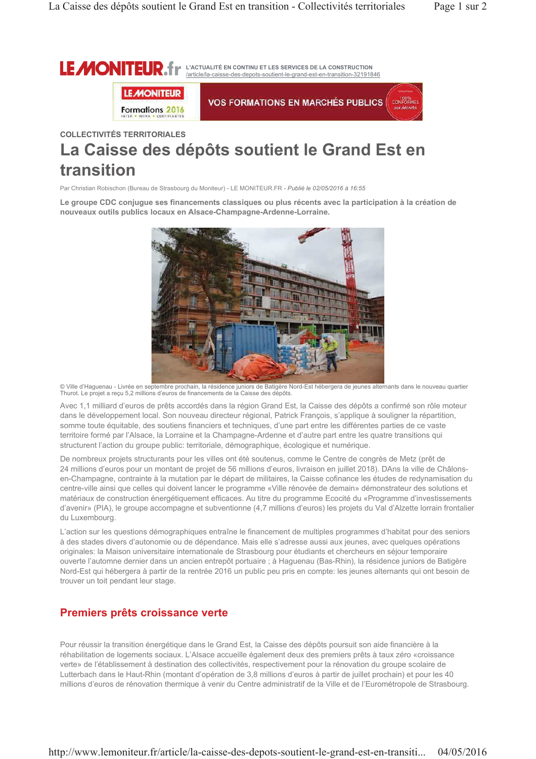

## **COLLECTIVITÉS TERRITORIALES** La Caisse des dépôts soutient le Grand Est en transition

Par Christian Robischon (Bureau de Strasbourg du Moniteur) - LE MONITEUR.FR - Publié le 02/05/2016 à 16:55

Le groupe CDC conjugue ses financements classiques ou plus récents avec la participation à la création de nouveaux outils publics locaux en Alsace-Champagne-Ardenne-Lorraine.



© Ville d'Haguenau - Livrée en septembre prochain, la résidence juniors de Batigère Nord-Est hébergera de jeunes alternants dans le nouveau quartier<br>Thurot. Le projet a reçu 5,2 millions d'euros de financements de la Caiss

Avec 1,1 milliard d'euros de prêts accordés dans la région Grand Est, la Caisse des dépôts a confirmé son rôle moteur dans le développement local. Son nouveau directeur régional, Patrick François, s'applique à souligner la répartition, somme toute équitable, des soutiens financiers et techniques, d'une part entre les différentes parties de ce vaste territoire formé par l'Alsace, la Lorraine et la Champagne-Ardenne et d'autre part entre les quatre transitions qui structurent l'action du groupe public: territoriale, démographique, écologique et numérique.

De nombreux projets structurants pour les villes ont été soutenus, comme le Centre de congrès de Metz (prêt de 24 millions d'euros pour un montant de projet de 56 millions d'euros, livraison en juillet 2018). DAns la ville de Châlonsen-Champagne, contrainte à la mutation par le départ de militaires, la Caisse cofinance les études de redynamisation du centre-ville ainsi que celles qui doivent lancer le programme «Ville rénovée de demain» démonstrateur des solutions et matériaux de construction énergétiquement efficaces. Au titre du programme Ecocité du «Programme d'investissements d'avenir» (PIA), le groupe accompagne et subventionne (4,7 millions d'euros) les projets du Val d'Alzette lorrain frontalier du Luxembourg.

L'action sur les questions démographiques entraîne le financement de multiples programmes d'habitat pour des seniors à des stades divers d'autonomie ou de dépendance. Mais elle s'adresse aussi aux jeunes, avec quelques opérations originales: la Maison universitaire internationale de Strasbourg pour étudiants et chercheurs en séjour temporaire ouverte l'automne dernier dans un ancien entrepôt portuaire ; à Haguenau (Bas-Rhin), la résidence juniors de Batigère Nord-Est qui hébergera à partir de la rentrée 2016 un public peu pris en compte: les jeunes alternants qui ont besoin de trouver un toit pendant leur stage.

#### Premiers prêts croissance verte

Pour réussir la transition énergétique dans le Grand Est, la Caisse des dépôts poursuit son aide financière à la réhabilitation de logements sociaux. L'Alsace accueille également deux des premiers prêts à taux zéro «croissance verte» de l'établissement à destination des collectivités, respectivement pour la rénovation du groupe scolaire de Lutterbach dans le Haut-Rhin (montant d'opération de 3,8 millions d'euros à partir de juillet prochain) et pour les 40 millions d'euros de rénovation thermique à venir du Centre administratif de la Ville et de l'Eurométropole de Strasbourg.